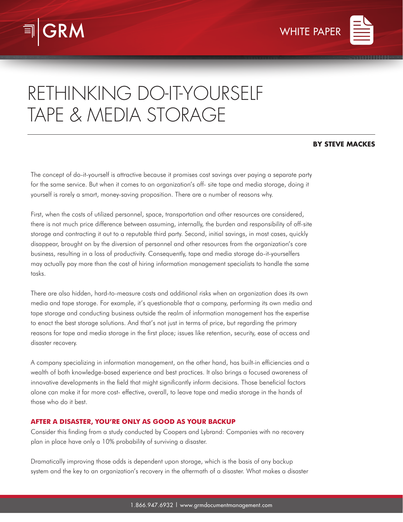



# RETHINKING DO-IT-YOURSELF TAPE & MEDIA STORAGE

## **BY STEVE MACKES**

The concept of do-it-yourself is attractive because it promises cost savings over paying a separate party for the same service. But when it comes to an organization's off- site tape and media storage, doing it yourself is rarely a smart, money-saving proposition. There are a number of reasons why.

First, when the costs of utilized personnel, space, transportation and other resources are considered, there is not much price difference between assuming, internally, the burden and responsibility of off-site storage and contracting it out to a reputable third party. Second, initial savings, in most cases, quickly disappear, brought on by the diversion of personnel and other resources from the organization's core business, resulting in a loss of productivity. Consequently, tape and media storage do-it-yourselfers may actually pay more than the cost of hiring information management specialists to handle the same tasks.

There are also hidden, hard-to-measure costs and additional risks when an organization does its own media and tape storage. For example, it's questionable that a company, performing its own media and tape storage and conducting business outside the realm of information management has the expertise to enact the best storage solutions. And that's not just in terms of price, but regarding the primary reasons for tape and media storage in the first place; issues like retention, security, ease of access and disaster recovery.

A company specializing in information management, on the other hand, has built-in efficiencies and a wealth of both knowledge-based experience and best practices. It also brings a focused awareness of innovative developments in the field that might significantly inform decisions. Those beneficial factors alone can make it far more cost- effective, overall, to leave tape and media storage in the hands of those who do it best.

## **AFTER A DISASTER, YOU'RE ONLY AS GOOD AS YOUR BACKUP**

Consider this finding from a study conducted by Coopers and Lybrand: Companies with no recovery plan in place have only a 10% probability of surviving a disaster.

Dramatically improving those odds is dependent upon storage, which is the basis of any backup system and the key to an organization's recovery in the aftermath of a disaster. What makes a disaster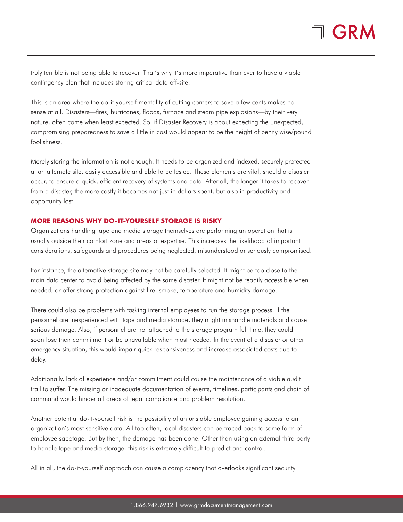truly terrible is not being able to recover. That's why it's more imperative than ever to have a viable contingency plan that includes storing critical data off-site.

This is an area where the do-it-yourself mentality of cutting corners to save a few cents makes no sense at all. Disasters—fires, hurricanes, floods, furnace and steam pipe explosions—by their very nature, often come when least expected. So, if Disaster Recovery is about expecting the unexpected, compromising preparedness to save a little in cost would appear to be the height of penny wise/pound foolishness.

Merely storing the information is not enough. It needs to be organized and indexed, securely protected at an alternate site, easily accessible and able to be tested. These elements are vital, should a disaster occur, to ensure a quick, efficient recovery of systems and data. After all, the longer it takes to recover from a disaster, the more costly it becomes not just in dollars spent, but also in productivity and opportunity lost.

#### **MORE REASONS WHY DO-IT-YOURSELF STORAGE IS RISKY**

Organizations handling tape and media storage themselves are performing an operation that is usually outside their comfort zone and areas of expertise. This increases the likelihood of important considerations, safeguards and procedures being neglected, misunderstood or seriously compromised.

For instance, the alternative storage site may not be carefully selected. It might be too close to the main data center to avoid being affected by the same disaster. It might not be readily accessible when needed, or offer strong protection against fire, smoke, temperature and humidity damage.

There could also be problems with tasking internal employees to run the storage process. If the personnel are inexperienced with tape and media storage, they might mishandle materials and cause serious damage. Also, if personnel are not attached to the storage program full time, they could soon lose their commitment or be unavailable when most needed. In the event of a disaster or other emergency situation, this would impair quick responsiveness and increase associated costs due to delay.

Additionally, lack of experience and/or commitment could cause the maintenance of a viable audit trail to suffer. The missing or inadequate documentation of events, timelines, participants and chain of command would hinder all areas of legal compliance and problem resolution.

Another potential do-it-yourself risk is the possibility of an unstable employee gaining access to an organization's most sensitive data. All too often, local disasters can be traced back to some form of employee sabotage. But by then, the damage has been done. Other than using an external third party to handle tape and media storage, this risk is extremely difficult to predict and control.

All in all, the do-it-yourself approach can cause a complacency that overlooks significant security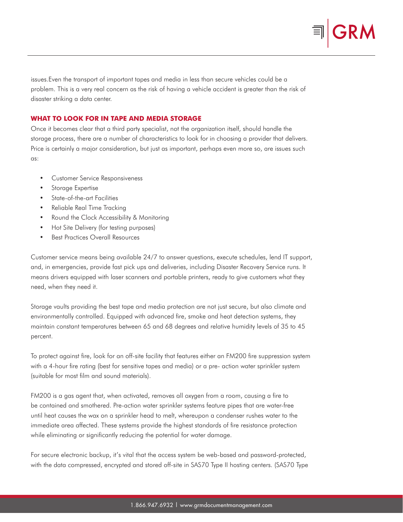

issues.Even the transport of important tapes and media in less than secure vehicles could be a problem. This is a very real concern as the risk of having a vehicle accident is greater than the risk of disaster striking a data center.

## **WHAT TO LOOK FOR IN TAPE AND MEDIA STORAGE**

Once it becomes clear that a third party specialist, not the organization itself, should handle the storage process, there are a number of characteristics to look for in choosing a provider that delivers. Price is certainly a major consideration, but just as important, perhaps even more so, are issues such as:

- Customer Service Responsiveness
- Storage Expertise
- State-of-the-art Facilities
- Reliable Real Time Tracking
- Round the Clock Accessibility & Monitoring
- Hot Site Delivery (for testing purposes)
- Best Practices Overall Resources

Customer service means being available 24/7 to answer questions, execute schedules, lend IT support, and, in emergencies, provide fast pick ups and deliveries, including Disaster Recovery Service runs. It means drivers equipped with laser scanners and portable printers, ready to give customers what they need, when they need it.

Storage vaults providing the best tape and media protection are not just secure, but also climate and environmentally controlled. Equipped with advanced fire, smoke and heat detection systems, they maintain constant temperatures between 65 and 68 degrees and relative humidity levels of 35 to 45 percent.

To protect against fire, look for an off-site facility that features either an FM200 fire suppression system with a 4-hour fire rating (best for sensitive tapes and media) or a pre- action water sprinkler system (suitable for most film and sound materials).

FM200 is a gas agent that, when activated, removes all oxygen from a room, causing a fire to be contained and smothered. Pre-action water sprinkler systems feature pipes that are water-free until heat causes the wax on a sprinkler head to melt, whereupon a condenser rushes water to the immediate area affected. These systems provide the highest standards of fire resistance protection while eliminating or significantly reducing the potential for water damage.

For secure electronic backup, it's vital that the access system be web-based and password-protected, with the data compressed, encrypted and stored off-site in SAS70 Type II hosting centers. (SAS70 Type